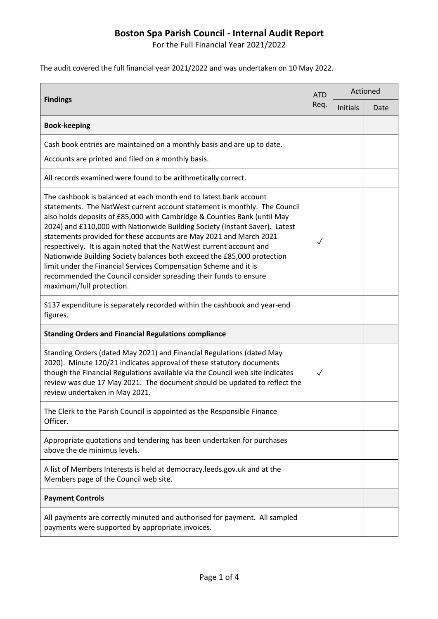For the Full Financial Year 2021/2022

The audit covered the full financial year 2021/2022 and was undertaken on 10 May 2022.

| <b>Findings</b>                                                                                                                                                                                                                                                                                                                                                                                                                                                                                                                                                                                                                                                                                        | <b>ATD</b><br>Req. | Actioned        |      |
|--------------------------------------------------------------------------------------------------------------------------------------------------------------------------------------------------------------------------------------------------------------------------------------------------------------------------------------------------------------------------------------------------------------------------------------------------------------------------------------------------------------------------------------------------------------------------------------------------------------------------------------------------------------------------------------------------------|--------------------|-----------------|------|
|                                                                                                                                                                                                                                                                                                                                                                                                                                                                                                                                                                                                                                                                                                        |                    | <b>Initials</b> | Date |
| <b>Book-keeping</b>                                                                                                                                                                                                                                                                                                                                                                                                                                                                                                                                                                                                                                                                                    |                    |                 |      |
| Cash book entries are maintained on a monthly basis and are up to date.                                                                                                                                                                                                                                                                                                                                                                                                                                                                                                                                                                                                                                |                    |                 |      |
| Accounts are printed and filed on a monthly basis.                                                                                                                                                                                                                                                                                                                                                                                                                                                                                                                                                                                                                                                     |                    |                 |      |
| All records examined were found to be arithmetically correct.                                                                                                                                                                                                                                                                                                                                                                                                                                                                                                                                                                                                                                          |                    |                 |      |
| The cashbook is balanced at each month end to latest bank account<br>statements. The NatWest current account statement is monthly. The Council<br>also holds deposits of £85,000 with Cambridge & Counties Bank (until May<br>2024) and £110,000 with Nationwide Building Society (Instant Saver). Latest<br>statements provided for these accounts are May 2021 and March 2021<br>respectively. It is again noted that the NatWest current account and<br>Nationwide Building Society balances both exceed the £85,000 protection<br>limit under the Financial Services Compensation Scheme and it is<br>recommended the Council consider spreading their funds to ensure<br>maximum/full protection. | ✓                  |                 |      |
| S137 expenditure is separately recorded within the cashbook and year-end<br>figures.                                                                                                                                                                                                                                                                                                                                                                                                                                                                                                                                                                                                                   |                    |                 |      |
| <b>Standing Orders and Financial Regulations compliance</b>                                                                                                                                                                                                                                                                                                                                                                                                                                                                                                                                                                                                                                            |                    |                 |      |
| Standing Orders (dated May 2021) and Financial Regulations (dated May<br>2020). Minute 120/21 indicates approval of these statutory documents<br>though the Financial Regulations available via the Council web site indicates<br>review was due 17 May 2021. The document should be updated to reflect the<br>review undertaken in May 2021.                                                                                                                                                                                                                                                                                                                                                          | ✓                  |                 |      |
| The Clerk to the Parish Council is appointed as the Responsible Finance<br>Officer.                                                                                                                                                                                                                                                                                                                                                                                                                                                                                                                                                                                                                    |                    |                 |      |
| Appropriate quotations and tendering has been undertaken for purchases<br>above the de minimus levels.                                                                                                                                                                                                                                                                                                                                                                                                                                                                                                                                                                                                 |                    |                 |      |
| A list of Members Interests is held at democracy. leeds. gov. uk and at the<br>Members page of the Council web site.                                                                                                                                                                                                                                                                                                                                                                                                                                                                                                                                                                                   |                    |                 |      |
| <b>Payment Controls</b>                                                                                                                                                                                                                                                                                                                                                                                                                                                                                                                                                                                                                                                                                |                    |                 |      |
| All payments are correctly minuted and authorised for payment. All sampled<br>payments were supported by appropriate invoices.                                                                                                                                                                                                                                                                                                                                                                                                                                                                                                                                                                         |                    |                 |      |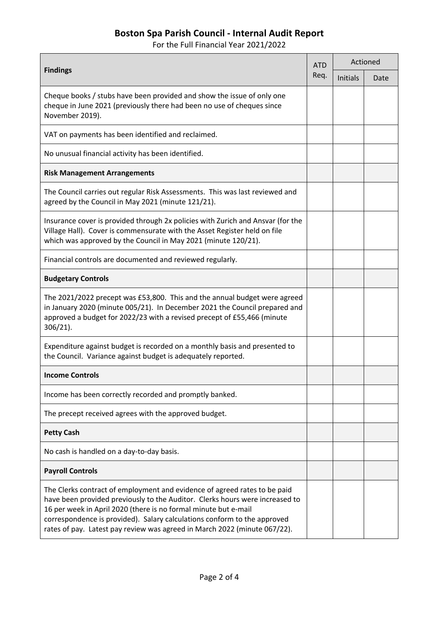For the Full Financial Year 2021/2022

| <b>Findings</b>                                                                                                                                                                                                                                                                                                                                                                       | <b>ATD</b><br>Req. | Actioned        |      |
|---------------------------------------------------------------------------------------------------------------------------------------------------------------------------------------------------------------------------------------------------------------------------------------------------------------------------------------------------------------------------------------|--------------------|-----------------|------|
|                                                                                                                                                                                                                                                                                                                                                                                       |                    | <b>Initials</b> | Date |
| Cheque books / stubs have been provided and show the issue of only one<br>cheque in June 2021 (previously there had been no use of cheques since<br>November 2019).                                                                                                                                                                                                                   |                    |                 |      |
| VAT on payments has been identified and reclaimed.                                                                                                                                                                                                                                                                                                                                    |                    |                 |      |
| No unusual financial activity has been identified.                                                                                                                                                                                                                                                                                                                                    |                    |                 |      |
| <b>Risk Management Arrangements</b>                                                                                                                                                                                                                                                                                                                                                   |                    |                 |      |
| The Council carries out regular Risk Assessments. This was last reviewed and<br>agreed by the Council in May 2021 (minute 121/21).                                                                                                                                                                                                                                                    |                    |                 |      |
| Insurance cover is provided through 2x policies with Zurich and Ansvar (for the<br>Village Hall). Cover is commensurate with the Asset Register held on file<br>which was approved by the Council in May 2021 (minute 120/21).                                                                                                                                                        |                    |                 |      |
| Financial controls are documented and reviewed regularly.                                                                                                                                                                                                                                                                                                                             |                    |                 |      |
| <b>Budgetary Controls</b>                                                                                                                                                                                                                                                                                                                                                             |                    |                 |      |
| The 2021/2022 precept was £53,800. This and the annual budget were agreed<br>in January 2020 (minute 005/21). In December 2021 the Council prepared and<br>approved a budget for 2022/23 with a revised precept of £55,466 (minute<br>$306/21$ ).                                                                                                                                     |                    |                 |      |
| Expenditure against budget is recorded on a monthly basis and presented to<br>the Council. Variance against budget is adequately reported.                                                                                                                                                                                                                                            |                    |                 |      |
| <b>Income Controls</b>                                                                                                                                                                                                                                                                                                                                                                |                    |                 |      |
| Income has been correctly recorded and promptly banked.                                                                                                                                                                                                                                                                                                                               |                    |                 |      |
| The precept received agrees with the approved budget.                                                                                                                                                                                                                                                                                                                                 |                    |                 |      |
| <b>Petty Cash</b>                                                                                                                                                                                                                                                                                                                                                                     |                    |                 |      |
| No cash is handled on a day-to-day basis.                                                                                                                                                                                                                                                                                                                                             |                    |                 |      |
| <b>Payroll Controls</b>                                                                                                                                                                                                                                                                                                                                                               |                    |                 |      |
| The Clerks contract of employment and evidence of agreed rates to be paid<br>have been provided previously to the Auditor. Clerks hours were increased to<br>16 per week in April 2020 (there is no formal minute but e-mail<br>correspondence is provided). Salary calculations conform to the approved<br>rates of pay. Latest pay review was agreed in March 2022 (minute 067/22). |                    |                 |      |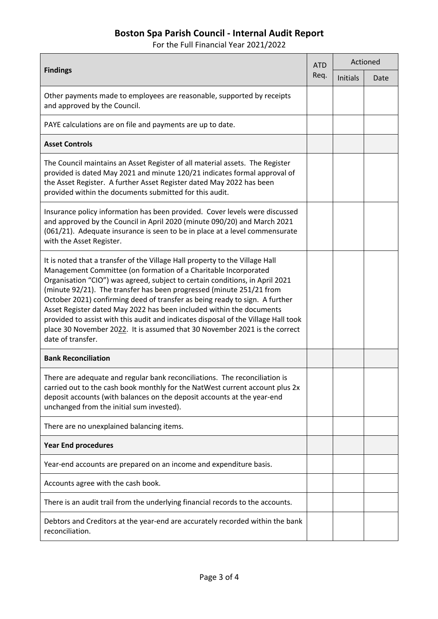For the Full Financial Year 2021/2022

| <b>Findings</b>                                                                                                                                                                                                                                                                                                                                                                                                                                                                                                                                                                                                                                         | <b>ATD</b><br>Req. | Actioned |      |
|---------------------------------------------------------------------------------------------------------------------------------------------------------------------------------------------------------------------------------------------------------------------------------------------------------------------------------------------------------------------------------------------------------------------------------------------------------------------------------------------------------------------------------------------------------------------------------------------------------------------------------------------------------|--------------------|----------|------|
|                                                                                                                                                                                                                                                                                                                                                                                                                                                                                                                                                                                                                                                         |                    | Initials | Date |
| Other payments made to employees are reasonable, supported by receipts<br>and approved by the Council.                                                                                                                                                                                                                                                                                                                                                                                                                                                                                                                                                  |                    |          |      |
| PAYE calculations are on file and payments are up to date.                                                                                                                                                                                                                                                                                                                                                                                                                                                                                                                                                                                              |                    |          |      |
| <b>Asset Controls</b>                                                                                                                                                                                                                                                                                                                                                                                                                                                                                                                                                                                                                                   |                    |          |      |
| The Council maintains an Asset Register of all material assets. The Register<br>provided is dated May 2021 and minute 120/21 indicates formal approval of<br>the Asset Register. A further Asset Register dated May 2022 has been<br>provided within the documents submitted for this audit.                                                                                                                                                                                                                                                                                                                                                            |                    |          |      |
| Insurance policy information has been provided. Cover levels were discussed<br>and approved by the Council in April 2020 (minute 090/20) and March 2021<br>(061/21). Adequate insurance is seen to be in place at a level commensurate<br>with the Asset Register.                                                                                                                                                                                                                                                                                                                                                                                      |                    |          |      |
| It is noted that a transfer of the Village Hall property to the Village Hall<br>Management Committee (on formation of a Charitable Incorporated<br>Organisation "CIO") was agreed, subject to certain conditions, in April 2021<br>(minute 92/21). The transfer has been progressed (minute 251/21 from<br>October 2021) confirming deed of transfer as being ready to sign. A further<br>Asset Register dated May 2022 has been included within the documents<br>provided to assist with this audit and indicates disposal of the Village Hall took<br>place 30 November 2022. It is assumed that 30 November 2021 is the correct<br>date of transfer. |                    |          |      |
| <b>Bank Reconciliation</b>                                                                                                                                                                                                                                                                                                                                                                                                                                                                                                                                                                                                                              |                    |          |      |
| There are adequate and regular bank reconciliations. The reconciliation is<br>carried out to the cash book monthly for the NatWest current account plus 2x<br>deposit accounts (with balances on the deposit accounts at the year-end<br>unchanged from the initial sum invested).                                                                                                                                                                                                                                                                                                                                                                      |                    |          |      |
| There are no unexplained balancing items.                                                                                                                                                                                                                                                                                                                                                                                                                                                                                                                                                                                                               |                    |          |      |
| <b>Year End procedures</b>                                                                                                                                                                                                                                                                                                                                                                                                                                                                                                                                                                                                                              |                    |          |      |
| Year-end accounts are prepared on an income and expenditure basis.                                                                                                                                                                                                                                                                                                                                                                                                                                                                                                                                                                                      |                    |          |      |
| Accounts agree with the cash book.                                                                                                                                                                                                                                                                                                                                                                                                                                                                                                                                                                                                                      |                    |          |      |
| There is an audit trail from the underlying financial records to the accounts.                                                                                                                                                                                                                                                                                                                                                                                                                                                                                                                                                                          |                    |          |      |
| Debtors and Creditors at the year-end are accurately recorded within the bank<br>reconciliation.                                                                                                                                                                                                                                                                                                                                                                                                                                                                                                                                                        |                    |          |      |